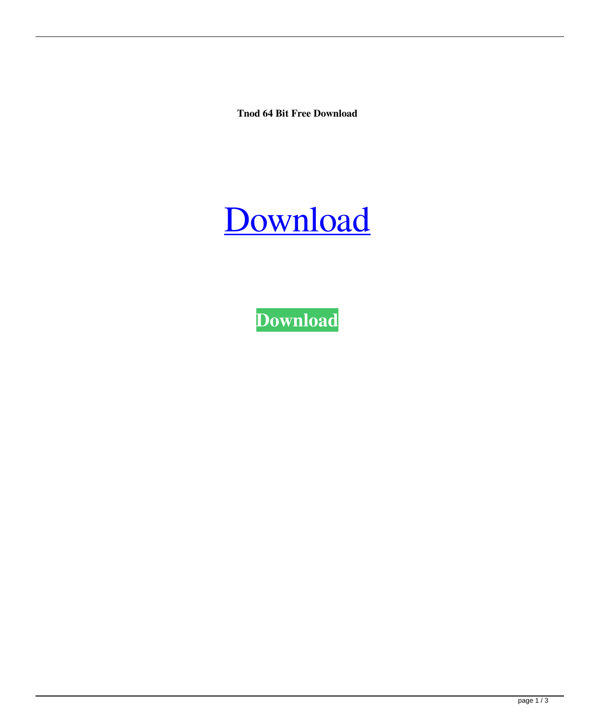**Tnod 64 Bit Free Download**



**[Download](http://evacdir.com/ZG93bmxvYWR8Umk1TW5ob09YeDhNVFkxTWpjME1EZzJObng4TWpVM05IeDhLRTBwSUhKbFlXUXRZbXh2WnlCYlJtRnpkQ0JIUlU1ZA/agawa/orion/gluh&keratoconus/lullabyes/hypertrophic/dG5vZCA2NCBiaXQgZnJlZSBkb3dubG9hZAdG5.plasmatic)**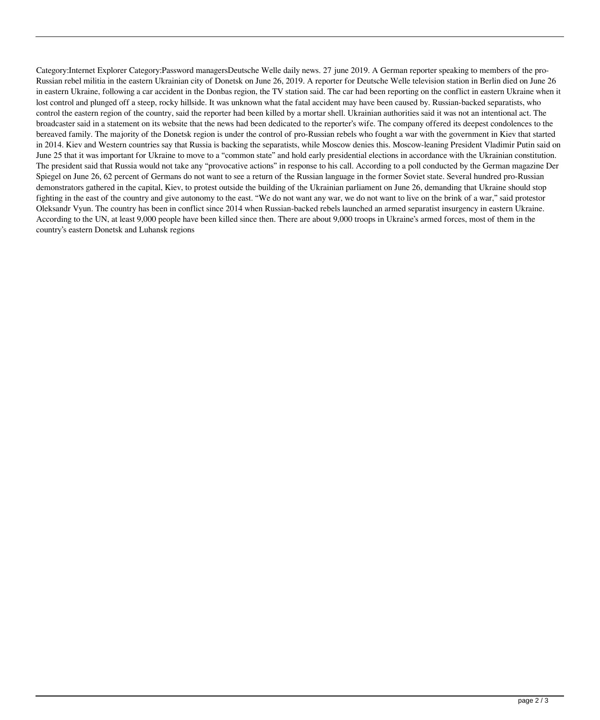Category:Internet Explorer Category:Password managersDeutsche Welle daily news. 27 june 2019. A German reporter speaking to members of the pro-Russian rebel militia in the eastern Ukrainian city of Donetsk on June 26, 2019. A reporter for Deutsche Welle television station in Berlin died on June 26 in eastern Ukraine, following a car accident in the Donbas region, the TV station said. The car had been reporting on the conflict in eastern Ukraine when it lost control and plunged off a steep, rocky hillside. It was unknown what the fatal accident may have been caused by. Russian-backed separatists, who control the eastern region of the country, said the reporter had been killed by a mortar shell. Ukrainian authorities said it was not an intentional act. The broadcaster said in a statement on its website that the news had been dedicated to the reporter's wife. The company offered its deepest condolences to the bereaved family. The majority of the Donetsk region is under the control of pro-Russian rebels who fought a war with the government in Kiev that started in 2014. Kiev and Western countries say that Russia is backing the separatists, while Moscow denies this. Moscow-leaning President Vladimir Putin said on June 25 that it was important for Ukraine to move to a "common state" and hold early presidential elections in accordance with the Ukrainian constitution. The president said that Russia would not take any "provocative actions" in response to his call. According to a poll conducted by the German magazine Der Spiegel on June 26, 62 percent of Germans do not want to see a return of the Russian language in the former Soviet state. Several hundred pro-Russian demonstrators gathered in the capital, Kiev, to protest outside the building of the Ukrainian parliament on June 26, demanding that Ukraine should stop fighting in the east of the country and give autonomy to the east. "We do not want any war, we do not want to live on the brink of a war," said protestor Oleksandr Vyun. The country has been in conflict since 2014 when Russian-backed rebels launched an armed separatist insurgency in eastern Ukraine. According to the UN, at least 9,000 people have been killed since then. There are about 9,000 troops in Ukraine's armed forces, most of them in the country's eastern Donetsk and Luhansk regions